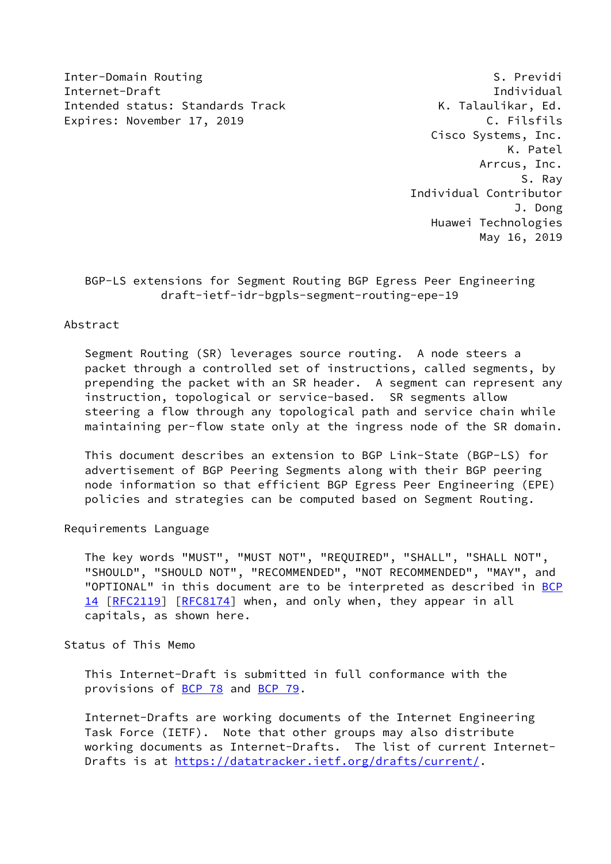Inter-Domain Routing and S. Previdi Internet-Draft Individual Intended status: Standards Track Track K. Talaulikar, Ed. Expires: November 17, 2019 C. Filsfils

 Cisco Systems, Inc. K. Patel Arrcus, Inc. S. Ray Individual Contributor J. Dong Huawei Technologies May 16, 2019

 BGP-LS extensions for Segment Routing BGP Egress Peer Engineering draft-ietf-idr-bgpls-segment-routing-epe-19

Abstract

 Segment Routing (SR) leverages source routing. A node steers a packet through a controlled set of instructions, called segments, by prepending the packet with an SR header. A segment can represent any instruction, topological or service-based. SR segments allow steering a flow through any topological path and service chain while maintaining per-flow state only at the ingress node of the SR domain.

 This document describes an extension to BGP Link-State (BGP-LS) for advertisement of BGP Peering Segments along with their BGP peering node information so that efficient BGP Egress Peer Engineering (EPE) policies and strategies can be computed based on Segment Routing.

Requirements Language

 The key words "MUST", "MUST NOT", "REQUIRED", "SHALL", "SHALL NOT", "SHOULD", "SHOULD NOT", "RECOMMENDED", "NOT RECOMMENDED", "MAY", and "OPTIONAL" in this document are to be interpreted as described in [BCP](https://datatracker.ietf.org/doc/pdf/bcp14) [14](https://datatracker.ietf.org/doc/pdf/bcp14) [[RFC2119\]](https://datatracker.ietf.org/doc/pdf/rfc2119) [\[RFC8174](https://datatracker.ietf.org/doc/pdf/rfc8174)] when, and only when, they appear in all capitals, as shown here.

Status of This Memo

 This Internet-Draft is submitted in full conformance with the provisions of [BCP 78](https://datatracker.ietf.org/doc/pdf/bcp78) and [BCP 79](https://datatracker.ietf.org/doc/pdf/bcp79).

 Internet-Drafts are working documents of the Internet Engineering Task Force (IETF). Note that other groups may also distribute working documents as Internet-Drafts. The list of current Internet Drafts is at<https://datatracker.ietf.org/drafts/current/>.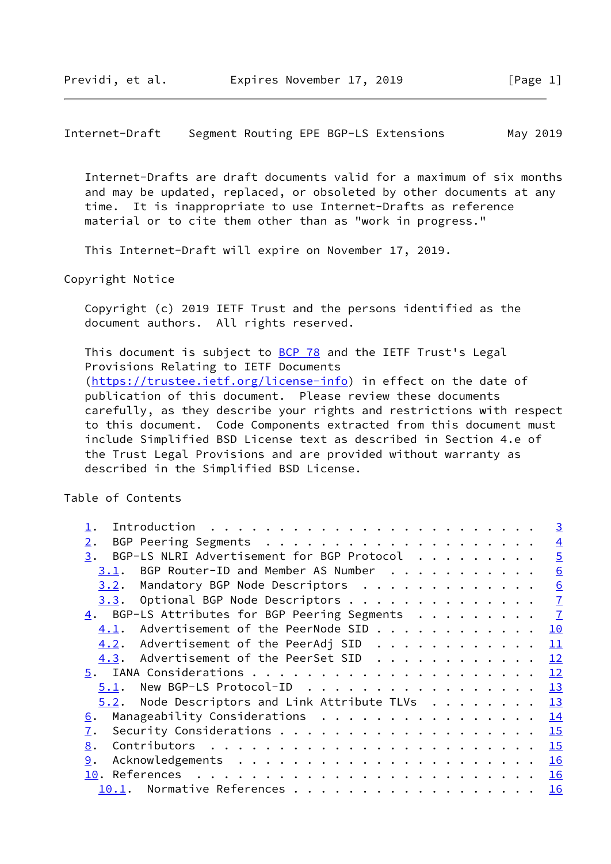Internet-Drafts are draft documents valid for a maximum of six months and may be updated, replaced, or obsoleted by other documents at any time. It is inappropriate to use Internet-Drafts as reference material or to cite them other than as "work in progress."

This Internet-Draft will expire on November 17, 2019.

Copyright Notice

 Copyright (c) 2019 IETF Trust and the persons identified as the document authors. All rights reserved.

This document is subject to [BCP 78](https://datatracker.ietf.org/doc/pdf/bcp78) and the IETF Trust's Legal Provisions Relating to IETF Documents [\(https://trustee.ietf.org/license-info](https://trustee.ietf.org/license-info)) in effect on the date of publication of this document. Please review these documents carefully, as they describe your rights and restrictions with respect to this document. Code Components extracted from this document must include Simplified BSD License text as described in Section 4.e of the Trust Legal Provisions and are provided without warranty as described in the Simplified BSD License.

Table of Contents

|                                                                                                       | $\overline{3}$   |
|-------------------------------------------------------------------------------------------------------|------------------|
| $2$ .                                                                                                 | $\overline{4}$   |
| BGP-LS NLRI Advertisement for BGP Protocol<br>3.                                                      | $\overline{5}$   |
| BGP Router-ID and Member AS Number<br>3.1.                                                            | 6                |
| Mandatory BGP Node Descriptors<br>3.2.                                                                | $6 \overline{6}$ |
| Optional BGP Node Descriptors<br>3.3.                                                                 | $\overline{1}$   |
| 4. BGP-LS Attributes for BGP Peering Segments                                                         | $\mathbf{Z}$     |
| Advertisement of the PeerNode SID<br>4.1.                                                             | 10               |
| 4.2. Advertisement of the PeerAdj SID                                                                 | 11               |
| $4.3.$ Advertisement of the PeerSet SID $\cdot \cdot \cdot \cdot \cdot \cdot \cdot \cdot \cdot \cdot$ | 12               |
|                                                                                                       | 12               |
| New BGP-LS Protocol-ID<br>5.1.                                                                        | <u>13</u>        |
| $5.2$ . Node Descriptors and Link Attribute TLVs                                                      | <u>13</u>        |
| Manageability Considerations<br><u>6</u> .                                                            | 14               |
| 7.                                                                                                    | 15               |
| 8.                                                                                                    | 15               |
| 9.                                                                                                    | <u>16</u>        |
| 10. References                                                                                        | 16               |
| 10.1.                                                                                                 | <b>16</b>        |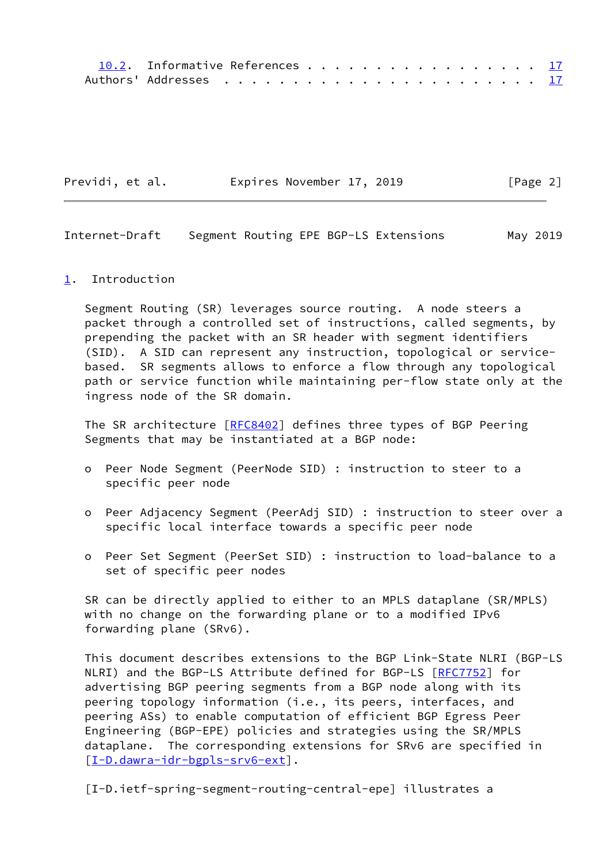| 10.2. Informative References 17 |  |  |  |  |  |  |  |  |  |
|---------------------------------|--|--|--|--|--|--|--|--|--|
|                                 |  |  |  |  |  |  |  |  |  |

<span id="page-2-1"></span>

| Previdi, et al. | Expires November 17, 2019 |  | [Page 2] |
|-----------------|---------------------------|--|----------|
|-----------------|---------------------------|--|----------|

## <span id="page-2-0"></span>[1](#page-2-0). Introduction

 Segment Routing (SR) leverages source routing. A node steers a packet through a controlled set of instructions, called segments, by prepending the packet with an SR header with segment identifiers (SID). A SID can represent any instruction, topological or service based. SR segments allows to enforce a flow through any topological path or service function while maintaining per-flow state only at the ingress node of the SR domain.

The SR architecture [\[RFC8402](https://datatracker.ietf.org/doc/pdf/rfc8402)] defines three types of BGP Peering Segments that may be instantiated at a BGP node:

- o Peer Node Segment (PeerNode SID) : instruction to steer to a specific peer node
- o Peer Adjacency Segment (PeerAdj SID) : instruction to steer over a specific local interface towards a specific peer node
- o Peer Set Segment (PeerSet SID) : instruction to load-balance to a set of specific peer nodes

 SR can be directly applied to either to an MPLS dataplane (SR/MPLS) with no change on the forwarding plane or to a modified IPv6 forwarding plane (SRv6).

 This document describes extensions to the BGP Link-State NLRI (BGP-LS NLRI) and the BGP-LS Attribute defined for BGP-LS [[RFC7752](https://datatracker.ietf.org/doc/pdf/rfc7752)] for advertising BGP peering segments from a BGP node along with its peering topology information (i.e., its peers, interfaces, and peering ASs) to enable computation of efficient BGP Egress Peer Engineering (BGP-EPE) policies and strategies using the SR/MPLS dataplane. The corresponding extensions for SRv6 are specified in [\[I-D.dawra-idr-bgpls-srv6-ext](#page-18-2)].

<span id="page-2-2"></span>[I-D.ietf-spring-segment-routing-central-epe] illustrates a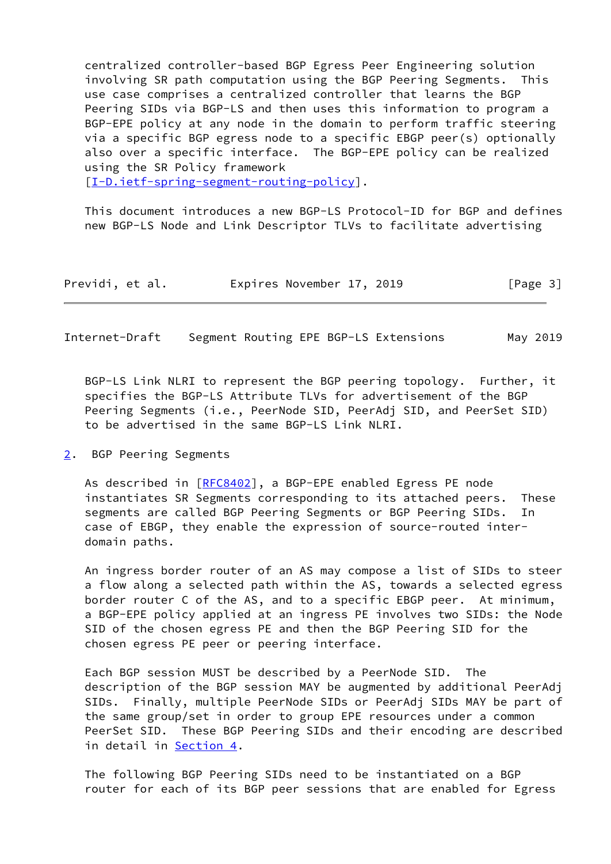centralized controller-based BGP Egress Peer Engineering solution involving SR path computation using the BGP Peering Segments. This use case comprises a centralized controller that learns the BGP Peering SIDs via BGP-LS and then uses this information to program a BGP-EPE policy at any node in the domain to perform traffic steering via a specific BGP egress node to a specific EBGP peer(s) optionally also over a specific interface. The BGP-EPE policy can be realized using the SR Policy framework

[\[I-D.ietf-spring-segment-routing-policy](#page-18-3)].

 This document introduces a new BGP-LS Protocol-ID for BGP and defines new BGP-LS Node and Link Descriptor TLVs to facilitate advertising

| Previdi, et al. | Expires November 17, 2019 |  | [Page 3] |
|-----------------|---------------------------|--|----------|
|-----------------|---------------------------|--|----------|

<span id="page-3-1"></span>Internet-Draft Segment Routing EPE BGP-LS Extensions May 2019

 BGP-LS Link NLRI to represent the BGP peering topology. Further, it specifies the BGP-LS Attribute TLVs for advertisement of the BGP Peering Segments (i.e., PeerNode SID, PeerAdj SID, and PeerSet SID) to be advertised in the same BGP-LS Link NLRI.

<span id="page-3-0"></span>[2](#page-3-0). BGP Peering Segments

As described in [\[RFC8402](https://datatracker.ietf.org/doc/pdf/rfc8402)], a BGP-EPE enabled Egress PE node instantiates SR Segments corresponding to its attached peers. These segments are called BGP Peering Segments or BGP Peering SIDs. In case of EBGP, they enable the expression of source-routed inter domain paths.

 An ingress border router of an AS may compose a list of SIDs to steer a flow along a selected path within the AS, towards a selected egress border router C of the AS, and to a specific EBGP peer. At minimum, a BGP-EPE policy applied at an ingress PE involves two SIDs: the Node SID of the chosen egress PE and then the BGP Peering SID for the chosen egress PE peer or peering interface.

 Each BGP session MUST be described by a PeerNode SID. The description of the BGP session MAY be augmented by additional PeerAdj SIDs. Finally, multiple PeerNode SIDs or PeerAdj SIDs MAY be part of the same group/set in order to group EPE resources under a common PeerSet SID. These BGP Peering SIDs and their encoding are described in detail in **Section 4.** 

 The following BGP Peering SIDs need to be instantiated on a BGP router for each of its BGP peer sessions that are enabled for Egress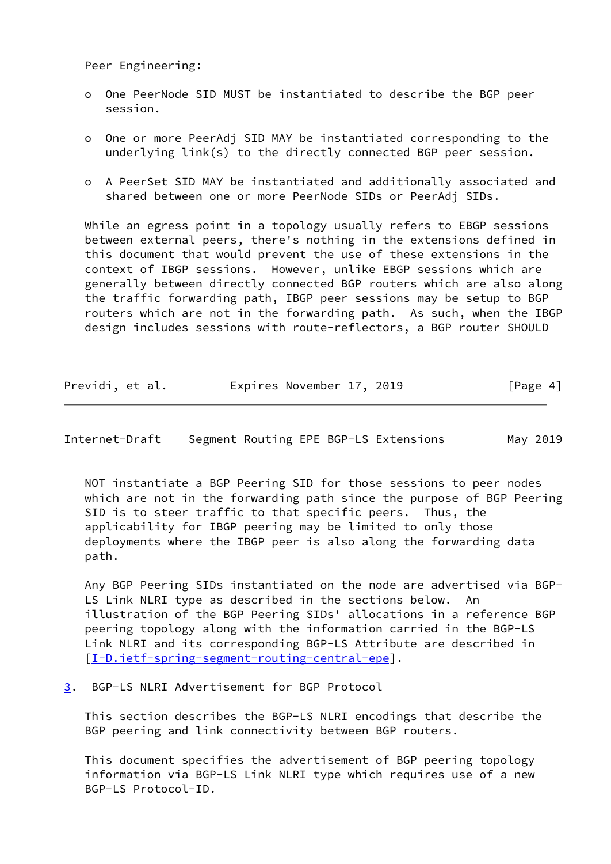Peer Engineering:

- o One PeerNode SID MUST be instantiated to describe the BGP peer session.
- o One or more PeerAdj SID MAY be instantiated corresponding to the underlying link(s) to the directly connected BGP peer session.
- o A PeerSet SID MAY be instantiated and additionally associated and shared between one or more PeerNode SIDs or PeerAdj SIDs.

 While an egress point in a topology usually refers to EBGP sessions between external peers, there's nothing in the extensions defined in this document that would prevent the use of these extensions in the context of IBGP sessions. However, unlike EBGP sessions which are generally between directly connected BGP routers which are also along the traffic forwarding path, IBGP peer sessions may be setup to BGP routers which are not in the forwarding path. As such, when the IBGP design includes sessions with route-reflectors, a BGP router SHOULD

| Previdi, et al. | Expires November 17, 2019 |  | [Page 4] |
|-----------------|---------------------------|--|----------|
|-----------------|---------------------------|--|----------|

<span id="page-4-1"></span>Internet-Draft Segment Routing EPE BGP-LS Extensions May 2019

 NOT instantiate a BGP Peering SID for those sessions to peer nodes which are not in the forwarding path since the purpose of BGP Peering SID is to steer traffic to that specific peers. Thus, the applicability for IBGP peering may be limited to only those deployments where the IBGP peer is also along the forwarding data path.

 Any BGP Peering SIDs instantiated on the node are advertised via BGP- LS Link NLRI type as described in the sections below. An illustration of the BGP Peering SIDs' allocations in a reference BGP peering topology along with the information carried in the BGP-LS Link NLRI and its corresponding BGP-LS Attribute are described in [\[I-D.ietf-spring-segment-routing-central-epe](#page-2-2)].

<span id="page-4-0"></span>[3](#page-4-0). BGP-LS NLRI Advertisement for BGP Protocol

 This section describes the BGP-LS NLRI encodings that describe the BGP peering and link connectivity between BGP routers.

 This document specifies the advertisement of BGP peering topology information via BGP-LS Link NLRI type which requires use of a new BGP-LS Protocol-ID.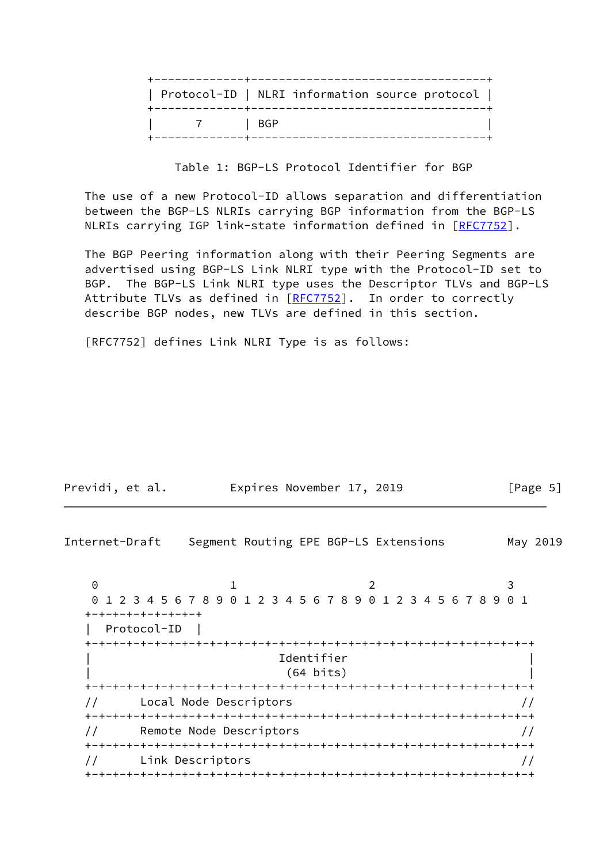|        | Protocol-ID   NLRI information source protocol |
|--------|------------------------------------------------|
| 7 IBGP |                                                |

Table 1: BGP-LS Protocol Identifier for BGP

 The use of a new Protocol-ID allows separation and differentiation between the BGP-LS NLRIs carrying BGP information from the BGP-LS NLRIs carrying IGP link-state information defined in [\[RFC7752](https://datatracker.ietf.org/doc/pdf/rfc7752)].

 The BGP Peering information along with their Peering Segments are advertised using BGP-LS Link NLRI type with the Protocol-ID set to BGP. The BGP-LS Link NLRI type uses the Descriptor TLVs and BGP-LS Attribute TLVs as defined in [\[RFC7752](https://datatracker.ietf.org/doc/pdf/rfc7752)]. In order to correctly describe BGP nodes, new TLVs are defined in this section.

[RFC7752] defines Link NLRI Type is as follows:

<span id="page-5-0"></span>

| Previdi, et al. | Expires November 17, 2019             | $\lceil \text{Page } 5 \rceil$ |
|-----------------|---------------------------------------|--------------------------------|
| Internet-Draft  | Segment Routing EPE BGP-LS Extensions | May 2019                       |

0 1 2 3 0 1 2 3 4 5 6 7 8 9 0 1 2 3 4 5 6 7 8 9 0 1 2 3 4 5 6 7 8 9 0 1 +-+-+-+-+-+-+-+-+ | Protocol-ID | +-+-+-+-+-+-+-+-+-+-+-+-+-+-+-+-+-+-+-+-+-+-+-+-+-+-+-+-+-+-+-+-+ | Identifier | | (64 bits) | +-+-+-+-+-+-+-+-+-+-+-+-+-+-+-+-+-+-+-+-+-+-+-+-+-+-+-+-+-+-+-+-+ // Local Node Descriptors // +-+-+-+-+-+-+-+-+-+-+-+-+-+-+-+-+-+-+-+-+-+-+-+-+-+-+-+-+-+-+-+-+ // Remote Node Descriptors // +-+-+-+-+-+-+-+-+-+-+-+-+-+-+-+-+-+-+-+-+-+-+-+-+-+-+-+-+-+-+-+-+ // Link Descriptors // +-+-+-+-+-+-+-+-+-+-+-+-+-+-+-+-+-+-+-+-+-+-+-+-+-+-+-+-+-+-+-+-+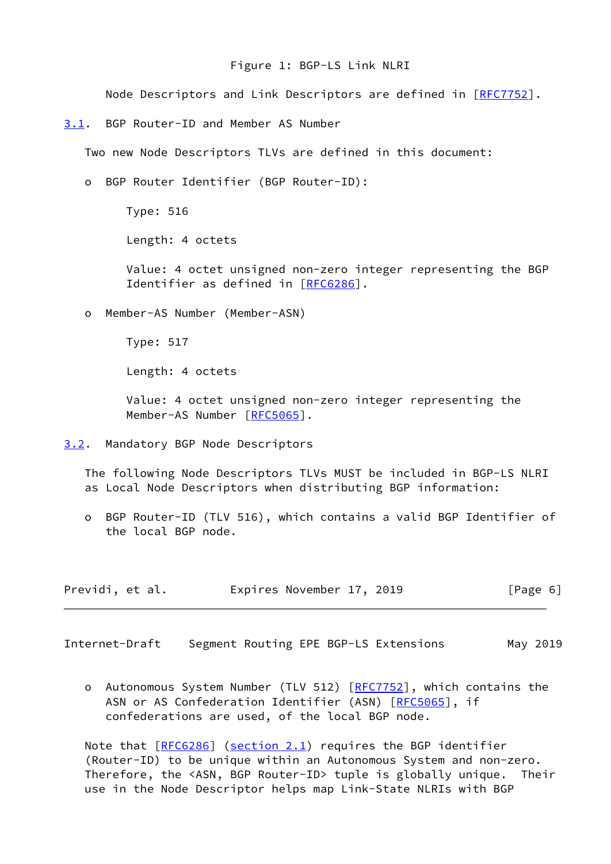## Figure 1: BGP-LS Link NLRI

Node Descriptors and Link Descriptors are defined in [\[RFC7752](https://datatracker.ietf.org/doc/pdf/rfc7752)].

<span id="page-6-0"></span>[3.1](#page-6-0). BGP Router-ID and Member AS Number

Two new Node Descriptors TLVs are defined in this document:

o BGP Router Identifier (BGP Router-ID):

Type: 516

Length: 4 octets

 Value: 4 octet unsigned non-zero integer representing the BGP Identifier as defined in [\[RFC6286](https://datatracker.ietf.org/doc/pdf/rfc6286)].

o Member-AS Number (Member-ASN)

Type: 517

Length: 4 octets

 Value: 4 octet unsigned non-zero integer representing the Member-AS Number [\[RFC5065](https://datatracker.ietf.org/doc/pdf/rfc5065)].

<span id="page-6-1"></span>[3.2](#page-6-1). Mandatory BGP Node Descriptors

 The following Node Descriptors TLVs MUST be included in BGP-LS NLRI as Local Node Descriptors when distributing BGP information:

 o BGP Router-ID (TLV 516), which contains a valid BGP Identifier of the local BGP node.

| Previdi, et al. | Expires November 17, 2019 | [Page 6] |
|-----------------|---------------------------|----------|
|-----------------|---------------------------|----------|

<span id="page-6-2"></span>Internet-Draft Segment Routing EPE BGP-LS Extensions May 2019

o Autonomous System Number (TLV 512) [[RFC7752](https://datatracker.ietf.org/doc/pdf/rfc7752)], which contains the ASN or AS Confederation Identifier (ASN) [\[RFC5065](https://datatracker.ietf.org/doc/pdf/rfc5065)], if confederations are used, of the local BGP node.

Note that  $[REC6286]$  (section 2.1) requires the BGP identifier (Router-ID) to be unique within an Autonomous System and non-zero. Therefore, the <ASN, BGP Router-ID> tuple is globally unique. Their use in the Node Descriptor helps map Link-State NLRIs with BGP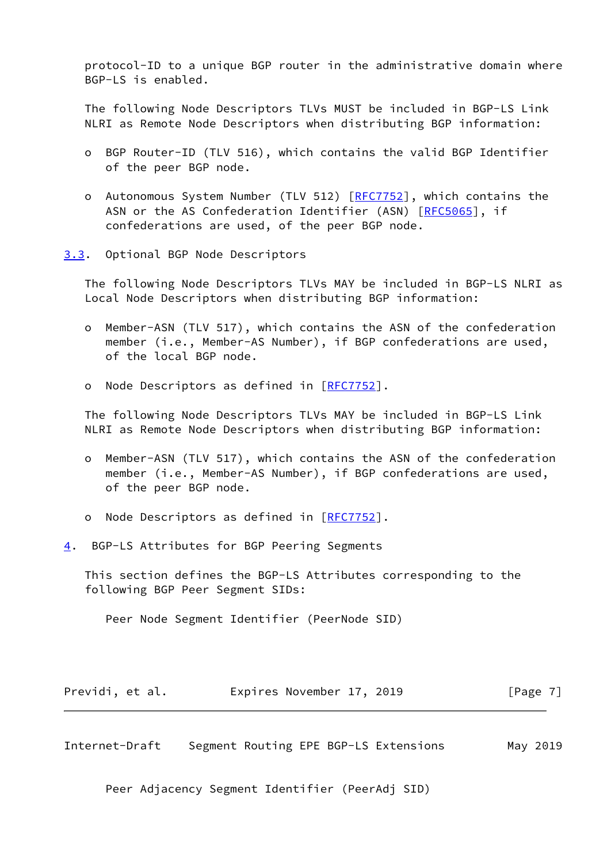protocol-ID to a unique BGP router in the administrative domain where BGP-LS is enabled.

 The following Node Descriptors TLVs MUST be included in BGP-LS Link NLRI as Remote Node Descriptors when distributing BGP information:

- o BGP Router-ID (TLV 516), which contains the valid BGP Identifier of the peer BGP node.
- o Autonomous System Number (TLV 512) [[RFC7752](https://datatracker.ietf.org/doc/pdf/rfc7752)], which contains the ASN or the AS Confederation Identifier (ASN) [\[RFC5065](https://datatracker.ietf.org/doc/pdf/rfc5065)], if confederations are used, of the peer BGP node.
- <span id="page-7-0"></span>[3.3](#page-7-0). Optional BGP Node Descriptors

 The following Node Descriptors TLVs MAY be included in BGP-LS NLRI as Local Node Descriptors when distributing BGP information:

- o Member-ASN (TLV 517), which contains the ASN of the confederation member (i.e., Member-AS Number), if BGP confederations are used, of the local BGP node.
- o Node Descriptors as defined in [[RFC7752](https://datatracker.ietf.org/doc/pdf/rfc7752)].

 The following Node Descriptors TLVs MAY be included in BGP-LS Link NLRI as Remote Node Descriptors when distributing BGP information:

- o Member-ASN (TLV 517), which contains the ASN of the confederation member (i.e., Member-AS Number), if BGP confederations are used, of the peer BGP node.
- o Node Descriptors as defined in [[RFC7752](https://datatracker.ietf.org/doc/pdf/rfc7752)].
- <span id="page-7-1"></span>[4](#page-7-1). BGP-LS Attributes for BGP Peering Segments

 This section defines the BGP-LS Attributes corresponding to the following BGP Peer Segment SIDs:

Peer Node Segment Identifier (PeerNode SID)

| Previdi, et al. | Expires November 17, 2019 | [Page 7] |
|-----------------|---------------------------|----------|
|-----------------|---------------------------|----------|

Internet-Draft Segment Routing EPE BGP-LS Extensions May 2019

Peer Adjacency Segment Identifier (PeerAdj SID)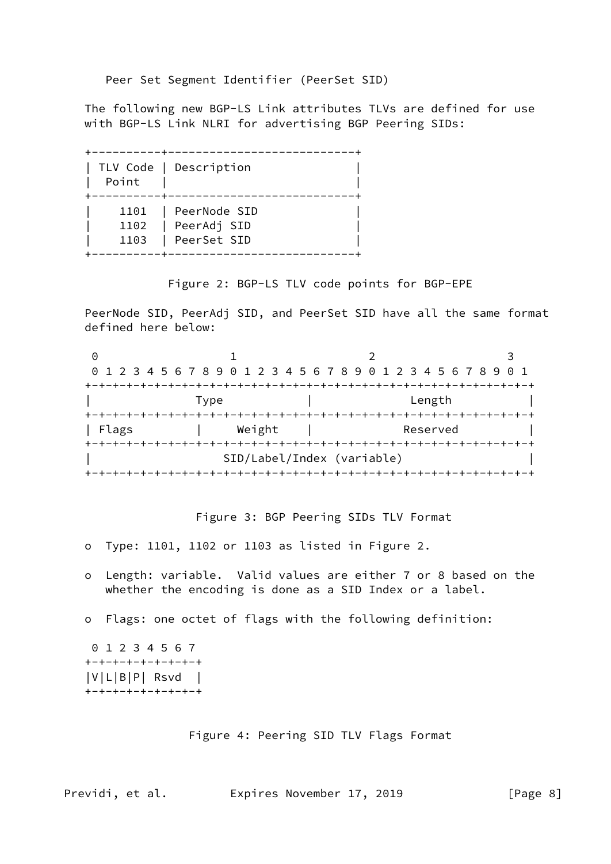Peer Set Segment Identifier (PeerSet SID)

 The following new BGP-LS Link attributes TLVs are defined for use with BGP-LS Link NLRI for advertising BGP Peering SIDs:

 +----------+---------------------------+ | TLV Code | Description | | Point | | +----------+---------------------------+ | 1101 | PeerNode SID | | 1102 | PeerAdj SID | | 1103 | PeerSet SID | +----------+---------------------------+

Figure 2: BGP-LS TLV code points for BGP-EPE

 PeerNode SID, PeerAdj SID, and PeerSet SID have all the same format defined here below:

| Θ     |        |                                                                 |  |
|-------|--------|-----------------------------------------------------------------|--|
|       |        | 0 1 2 3 4 5 6 7 8 9 0 1 2 3 4 5 6 7 8 9 0 1 2 3 4 5 6 7 8 9 0 1 |  |
|       |        |                                                                 |  |
|       | Type   | Length                                                          |  |
|       |        |                                                                 |  |
| Flags | Weight | Reserved                                                        |  |
|       |        |                                                                 |  |
|       |        | SID/Label/Index (variable)                                      |  |
|       |        |                                                                 |  |

Figure 3: BGP Peering SIDs TLV Format

- o Type: 1101, 1102 or 1103 as listed in Figure 2.
- o Length: variable. Valid values are either 7 or 8 based on the whether the encoding is done as a SID Index or a label.
- o Flags: one octet of flags with the following definition:

 0 1 2 3 4 5 6 7 +-+-+-+-+-+-+-+-+ |V|L|B|P| Rsvd | +-+-+-+-+-+-+-+-+

Figure 4: Peering SID TLV Flags Format

Previdi, et al. **Expires November 17, 2019** [Page 8]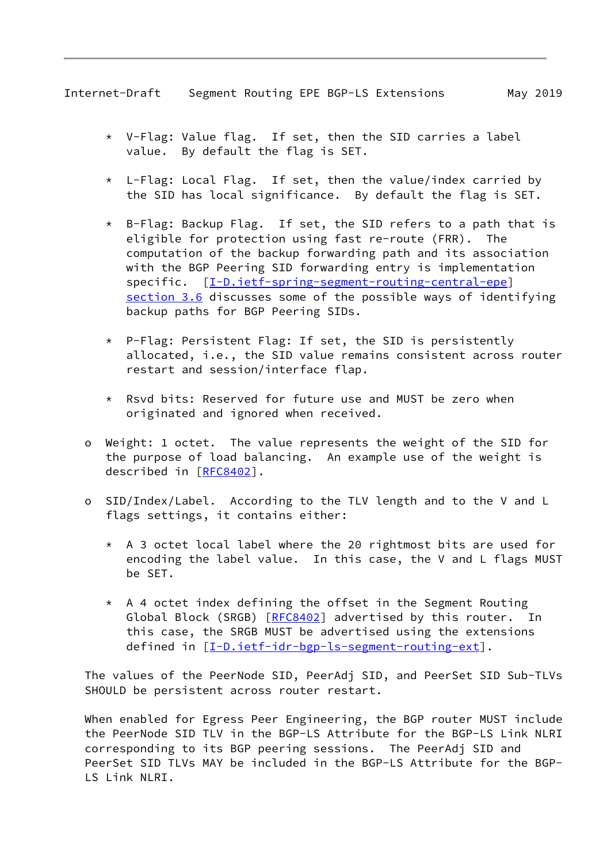- \* V-Flag: Value flag. If set, then the SID carries a label value. By default the flag is SET.
- \* L-Flag: Local Flag. If set, then the value/index carried by the SID has local significance. By default the flag is SET.
- \* B-Flag: Backup Flag. If set, the SID refers to a path that is eligible for protection using fast re-route (FRR). The computation of the backup forwarding path and its association with the BGP Peering SID forwarding entry is implementation specific.  $[I-D.iett-spring-segment-routine-central-epe]$ section 3.6 discusses some of the possible ways of identifying backup paths for BGP Peering SIDs.
- \* P-Flag: Persistent Flag: If set, the SID is persistently allocated, i.e., the SID value remains consistent across router restart and session/interface flap.
- \* Rsvd bits: Reserved for future use and MUST be zero when originated and ignored when received.
- o Weight: 1 octet. The value represents the weight of the SID for the purpose of load balancing. An example use of the weight is described in [\[RFC8402](https://datatracker.ietf.org/doc/pdf/rfc8402)].
- o SID/Index/Label. According to the TLV length and to the V and L flags settings, it contains either:
	- \* A 3 octet local label where the 20 rightmost bits are used for encoding the label value. In this case, the V and L flags MUST be SET.
	- \* A 4 octet index defining the offset in the Segment Routing Global Block (SRGB) [[RFC8402](https://datatracker.ietf.org/doc/pdf/rfc8402)] advertised by this router. In this case, the SRGB MUST be advertised using the extensions defined in [\[I-D.ietf-idr-bgp-ls-segment-routing-ext](#page-17-4)].

 The values of the PeerNode SID, PeerAdj SID, and PeerSet SID Sub-TLVs SHOULD be persistent across router restart.

 When enabled for Egress Peer Engineering, the BGP router MUST include the PeerNode SID TLV in the BGP-LS Attribute for the BGP-LS Link NLRI corresponding to its BGP peering sessions. The PeerAdj SID and PeerSet SID TLVs MAY be included in the BGP-LS Attribute for the BGP- LS Link NLRI.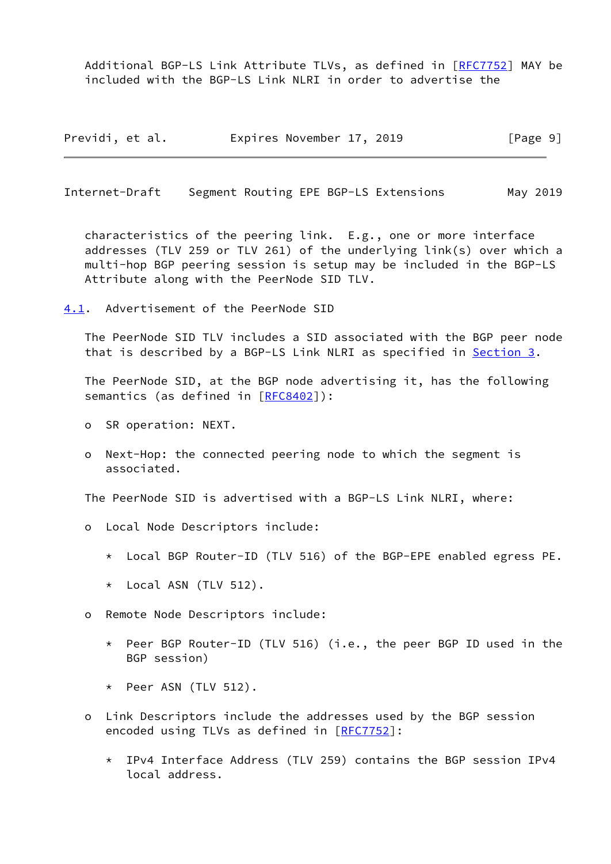Additional BGP-LS Link Attribute TLVs, as defined in [\[RFC7752](https://datatracker.ietf.org/doc/pdf/rfc7752)] MAY be included with the BGP-LS Link NLRI in order to advertise the

| Previdi, et al. | Expires November 17, 2019 |  | [Page 9] |
|-----------------|---------------------------|--|----------|
|-----------------|---------------------------|--|----------|

<span id="page-10-1"></span>Internet-Draft Segment Routing EPE BGP-LS Extensions May 2019

 characteristics of the peering link. E.g., one or more interface addresses (TLV 259 or TLV 261) of the underlying link(s) over which a multi-hop BGP peering session is setup may be included in the BGP-LS Attribute along with the PeerNode SID TLV.

<span id="page-10-0"></span>[4.1](#page-10-0). Advertisement of the PeerNode SID

 The PeerNode SID TLV includes a SID associated with the BGP peer node that is described by a BGP-LS Link NLRI as specified in [Section 3](#page-4-0).

 The PeerNode SID, at the BGP node advertising it, has the following semantics (as defined in [\[RFC8402](https://datatracker.ietf.org/doc/pdf/rfc8402)]):

- o SR operation: NEXT.
- o Next-Hop: the connected peering node to which the segment is associated.

The PeerNode SID is advertised with a BGP-LS Link NLRI, where:

- o Local Node Descriptors include:
	- \* Local BGP Router-ID (TLV 516) of the BGP-EPE enabled egress PE.
	- \* Local ASN (TLV 512).
- o Remote Node Descriptors include:
	- \* Peer BGP Router-ID (TLV 516) (i.e., the peer BGP ID used in the BGP session)
	- \* Peer ASN (TLV 512).
- o Link Descriptors include the addresses used by the BGP session encoded using TLVs as defined in [\[RFC7752](https://datatracker.ietf.org/doc/pdf/rfc7752)]:
	- \* IPv4 Interface Address (TLV 259) contains the BGP session IPv4 local address.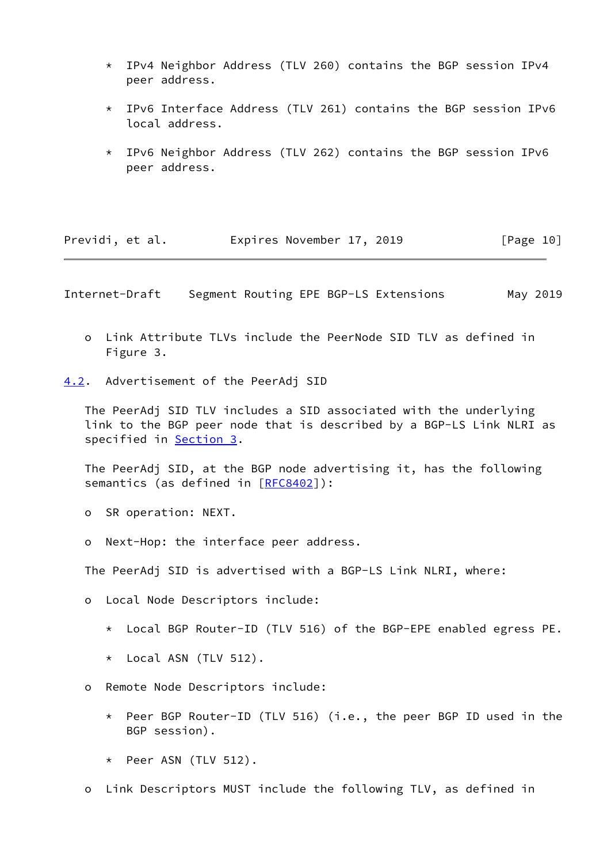- \* IPv4 Neighbor Address (TLV 260) contains the BGP session IPv4 peer address.
- \* IPv6 Interface Address (TLV 261) contains the BGP session IPv6 local address.
- \* IPv6 Neighbor Address (TLV 262) contains the BGP session IPv6 peer address.

<span id="page-11-1"></span>

| Expires November 17, 2019<br>Previdi, et al.<br>[Page 10] |
|-----------------------------------------------------------|
|-----------------------------------------------------------|

- o Link Attribute TLVs include the PeerNode SID TLV as defined in Figure 3.
- <span id="page-11-0"></span>[4.2](#page-11-0). Advertisement of the PeerAdj SID

 The PeerAdj SID TLV includes a SID associated with the underlying link to the BGP peer node that is described by a BGP-LS Link NLRI as specified in [Section 3](#page-4-0).

 The PeerAdj SID, at the BGP node advertising it, has the following semantics (as defined in [\[RFC8402](https://datatracker.ietf.org/doc/pdf/rfc8402)]):

- o SR operation: NEXT.
- o Next-Hop: the interface peer address.

The PeerAdj SID is advertised with a BGP-LS Link NLRI, where:

- o Local Node Descriptors include:
	- \* Local BGP Router-ID (TLV 516) of the BGP-EPE enabled egress PE.
	- \* Local ASN (TLV 512).
- o Remote Node Descriptors include:
	- \* Peer BGP Router-ID (TLV 516) (i.e., the peer BGP ID used in the BGP session).
	- \* Peer ASN (TLV 512).
- o Link Descriptors MUST include the following TLV, as defined in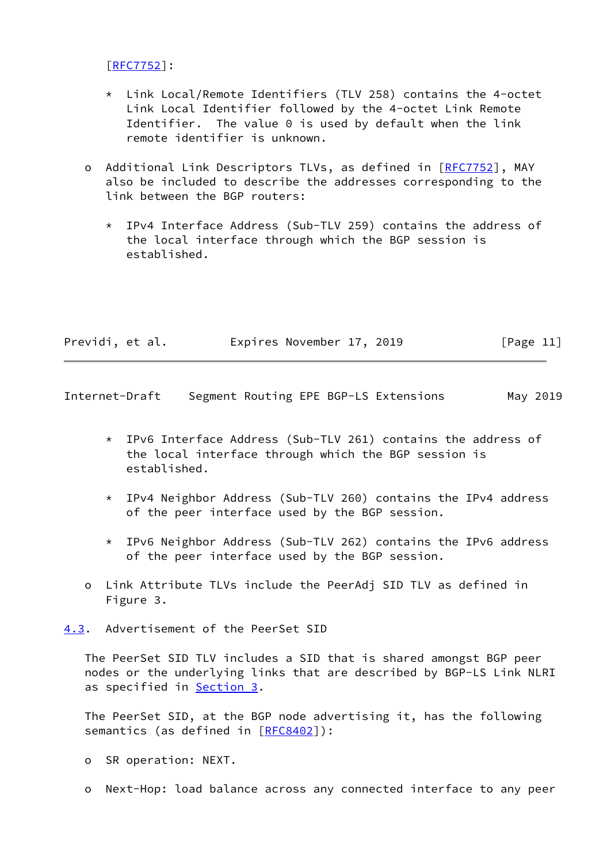[[RFC7752\]](https://datatracker.ietf.org/doc/pdf/rfc7752):

- \* Link Local/Remote Identifiers (TLV 258) contains the 4-octet Link Local Identifier followed by the 4-octet Link Remote Identifier. The value 0 is used by default when the link remote identifier is unknown.
- o Additional Link Descriptors TLVs, as defined in [[RFC7752\]](https://datatracker.ietf.org/doc/pdf/rfc7752), MAY also be included to describe the addresses corresponding to the link between the BGP routers:
	- \* IPv4 Interface Address (Sub-TLV 259) contains the address of the local interface through which the BGP session is established.

| Previdi, et al. | Expires November 17, 2019 | [Page 11] |
|-----------------|---------------------------|-----------|
|                 |                           |           |

<span id="page-12-1"></span>Internet-Draft Segment Routing EPE BGP-LS Extensions May 2019

- \* IPv6 Interface Address (Sub-TLV 261) contains the address of the local interface through which the BGP session is established.
- \* IPv4 Neighbor Address (Sub-TLV 260) contains the IPv4 address of the peer interface used by the BGP session.
- \* IPv6 Neighbor Address (Sub-TLV 262) contains the IPv6 address of the peer interface used by the BGP session.
- o Link Attribute TLVs include the PeerAdj SID TLV as defined in Figure 3.

<span id="page-12-0"></span>[4.3](#page-12-0). Advertisement of the PeerSet SID

 The PeerSet SID TLV includes a SID that is shared amongst BGP peer nodes or the underlying links that are described by BGP-LS Link NLRI as specified in **Section 3.** 

 The PeerSet SID, at the BGP node advertising it, has the following semantics (as defined in [\[RFC8402](https://datatracker.ietf.org/doc/pdf/rfc8402)]):

- o SR operation: NEXT.
- o Next-Hop: load balance across any connected interface to any peer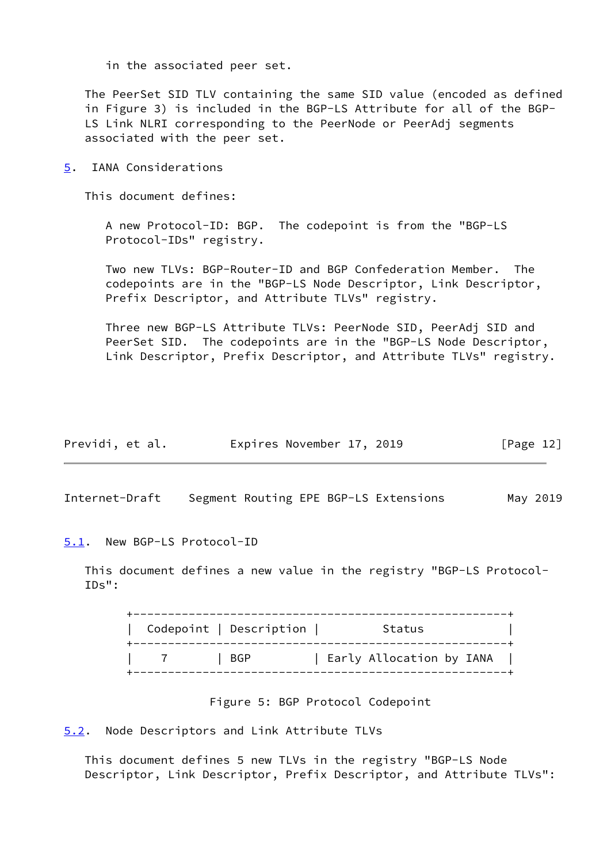in the associated peer set.

 The PeerSet SID TLV containing the same SID value (encoded as defined in Figure 3) is included in the BGP-LS Attribute for all of the BGP- LS Link NLRI corresponding to the PeerNode or PeerAdj segments associated with the peer set.

<span id="page-13-0"></span>[5](#page-13-0). IANA Considerations

This document defines:

 A new Protocol-ID: BGP. The codepoint is from the "BGP-LS Protocol-IDs" registry.

 Two new TLVs: BGP-Router-ID and BGP Confederation Member. The codepoints are in the "BGP-LS Node Descriptor, Link Descriptor, Prefix Descriptor, and Attribute TLVs" registry.

 Three new BGP-LS Attribute TLVs: PeerNode SID, PeerAdj SID and PeerSet SID. The codepoints are in the "BGP-LS Node Descriptor, Link Descriptor, Prefix Descriptor, and Attribute TLVs" registry.

| Previdi, et al. | Expires November 17, 2019 |  | [Page 12] |
|-----------------|---------------------------|--|-----------|
|-----------------|---------------------------|--|-----------|

<span id="page-13-2"></span>Internet-Draft Segment Routing EPE BGP-LS Extensions May 2019

<span id="page-13-1"></span>[5.1](#page-13-1). New BGP-LS Protocol-ID

 This document defines a new value in the registry "BGP-LS Protocol- IDs":

| Codepoint   Description | Status                   |
|-------------------------|--------------------------|
| BGP                     | Early Allocation by IANA |

### Figure 5: BGP Protocol Codepoint

<span id="page-13-3"></span>[5.2](#page-13-3). Node Descriptors and Link Attribute TLVs

 This document defines 5 new TLVs in the registry "BGP-LS Node Descriptor, Link Descriptor, Prefix Descriptor, and Attribute TLVs":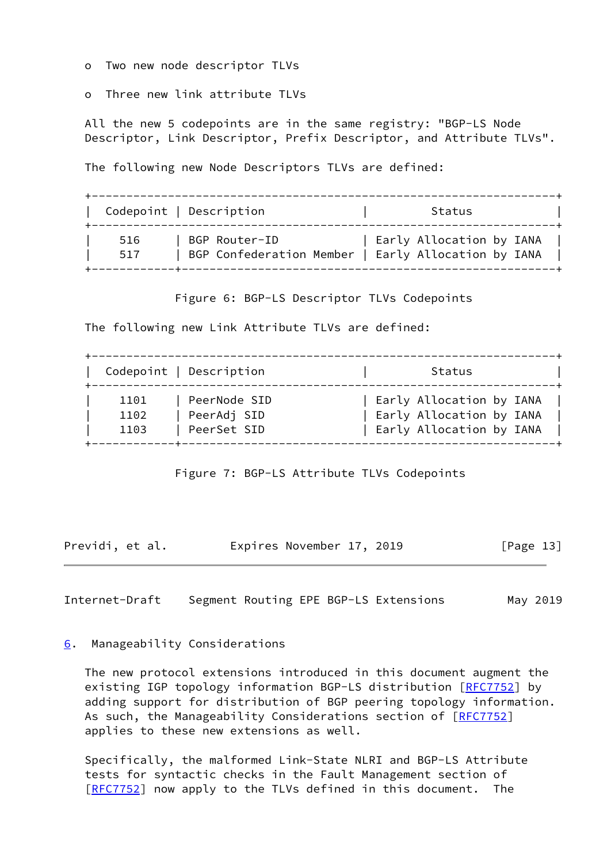o Two new node descriptor TLVs

o Three new link attribute TLVs

 All the new 5 codepoints are in the same registry: "BGP-LS Node Descriptor, Link Descriptor, Prefix Descriptor, and Attribute TLVs".

The following new Node Descriptors TLVs are defined:

|     | Codepoint   Description  | Status                   |
|-----|--------------------------|--------------------------|
| 516 | BGP Router-ID            | Early Allocation by IANA |
| 517 | BGP Confederation Member | Early Allocation by IANA |

Figure 6: BGP-LS Descriptor TLVs Codepoints

The following new Link Attribute TLVs are defined:

|      | Codepoint   Description |  | Status                   |  |
|------|-------------------------|--|--------------------------|--|
| 1101 | PeerNode SID            |  | Early Allocation by IANA |  |
| 1102 | PeerAdj SID             |  | Early Allocation by IANA |  |
| 1103 | PeerSet SID             |  | Early Allocation by IANA |  |

Figure 7: BGP-LS Attribute TLVs Codepoints

Previdi, et al. **Expires November 17, 2019** [Page 13]

<span id="page-14-1"></span>Internet-Draft Segment Routing EPE BGP-LS Extensions May 2019

## <span id="page-14-0"></span>[6](#page-14-0). Manageability Considerations

 The new protocol extensions introduced in this document augment the existing IGP topology information BGP-LS distribution [[RFC7752](https://datatracker.ietf.org/doc/pdf/rfc7752)] by adding support for distribution of BGP peering topology information. As such, the Manageability Considerations section of [\[RFC7752](https://datatracker.ietf.org/doc/pdf/rfc7752)] applies to these new extensions as well.

 Specifically, the malformed Link-State NLRI and BGP-LS Attribute tests for syntactic checks in the Fault Management section of [\[RFC7752](https://datatracker.ietf.org/doc/pdf/rfc7752)] now apply to the TLVs defined in this document. The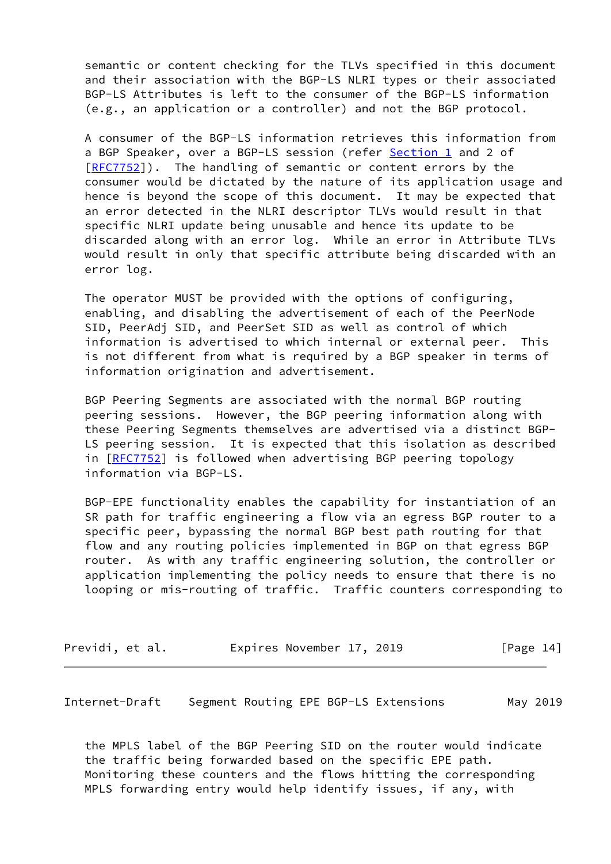semantic or content checking for the TLVs specified in this document and their association with the BGP-LS NLRI types or their associated BGP-LS Attributes is left to the consumer of the BGP-LS information (e.g., an application or a controller) and not the BGP protocol.

 A consumer of the BGP-LS information retrieves this information from a BGP Speaker, over a BGP-LS session (refer [Section 1](#page-2-0) and 2 of [\[RFC7752](https://datatracker.ietf.org/doc/pdf/rfc7752)]). The handling of semantic or content errors by the consumer would be dictated by the nature of its application usage and hence is beyond the scope of this document. It may be expected that an error detected in the NLRI descriptor TLVs would result in that specific NLRI update being unusable and hence its update to be discarded along with an error log. While an error in Attribute TLVs would result in only that specific attribute being discarded with an error log.

 The operator MUST be provided with the options of configuring, enabling, and disabling the advertisement of each of the PeerNode SID, PeerAdj SID, and PeerSet SID as well as control of which information is advertised to which internal or external peer. This is not different from what is required by a BGP speaker in terms of information origination and advertisement.

 BGP Peering Segments are associated with the normal BGP routing peering sessions. However, the BGP peering information along with these Peering Segments themselves are advertised via a distinct BGP- LS peering session. It is expected that this isolation as described in [[RFC7752\]](https://datatracker.ietf.org/doc/pdf/rfc7752) is followed when advertising BGP peering topology information via BGP-LS.

 BGP-EPE functionality enables the capability for instantiation of an SR path for traffic engineering a flow via an egress BGP router to a specific peer, bypassing the normal BGP best path routing for that flow and any routing policies implemented in BGP on that egress BGP router. As with any traffic engineering solution, the controller or application implementing the policy needs to ensure that there is no looping or mis-routing of traffic. Traffic counters corresponding to

| Previdi, et al. | Expires November 17, 2019 |  | [Page 14] |
|-----------------|---------------------------|--|-----------|
|-----------------|---------------------------|--|-----------|

<span id="page-15-0"></span>Internet-Draft Segment Routing EPE BGP-LS Extensions May 2019

 the MPLS label of the BGP Peering SID on the router would indicate the traffic being forwarded based on the specific EPE path. Monitoring these counters and the flows hitting the corresponding MPLS forwarding entry would help identify issues, if any, with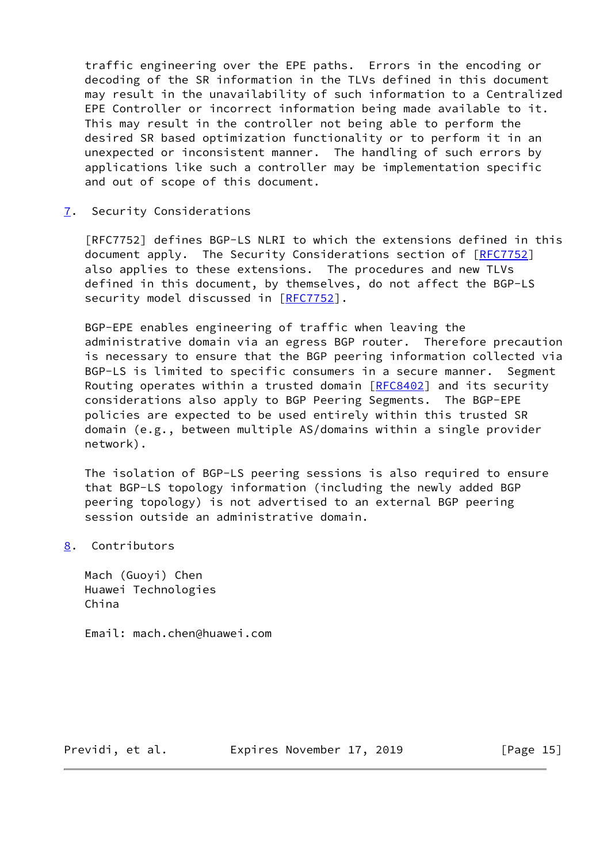traffic engineering over the EPE paths. Errors in the encoding or decoding of the SR information in the TLVs defined in this document may result in the unavailability of such information to a Centralized EPE Controller or incorrect information being made available to it. This may result in the controller not being able to perform the desired SR based optimization functionality or to perform it in an unexpected or inconsistent manner. The handling of such errors by applications like such a controller may be implementation specific and out of scope of this document.

<span id="page-16-0"></span>[7](#page-16-0). Security Considerations

 [RFC7752] defines BGP-LS NLRI to which the extensions defined in this document apply. The Security Considerations section of [\[RFC7752](https://datatracker.ietf.org/doc/pdf/rfc7752)] also applies to these extensions. The procedures and new TLVs defined in this document, by themselves, do not affect the BGP-LS security model discussed in [\[RFC7752](https://datatracker.ietf.org/doc/pdf/rfc7752)].

 BGP-EPE enables engineering of traffic when leaving the administrative domain via an egress BGP router. Therefore precaution is necessary to ensure that the BGP peering information collected via BGP-LS is limited to specific consumers in a secure manner. Segment Routing operates within a trusted domain  $[REC8402]$  and its security considerations also apply to BGP Peering Segments. The BGP-EPE policies are expected to be used entirely within this trusted SR domain (e.g., between multiple AS/domains within a single provider network).

 The isolation of BGP-LS peering sessions is also required to ensure that BGP-LS topology information (including the newly added BGP peering topology) is not advertised to an external BGP peering session outside an administrative domain.

<span id="page-16-1"></span>[8](#page-16-1). Contributors

 Mach (Guoyi) Chen Huawei Technologies China

Email: mach.chen@huawei.com

Previdi, et al. Expires November 17, 2019 [Page 15]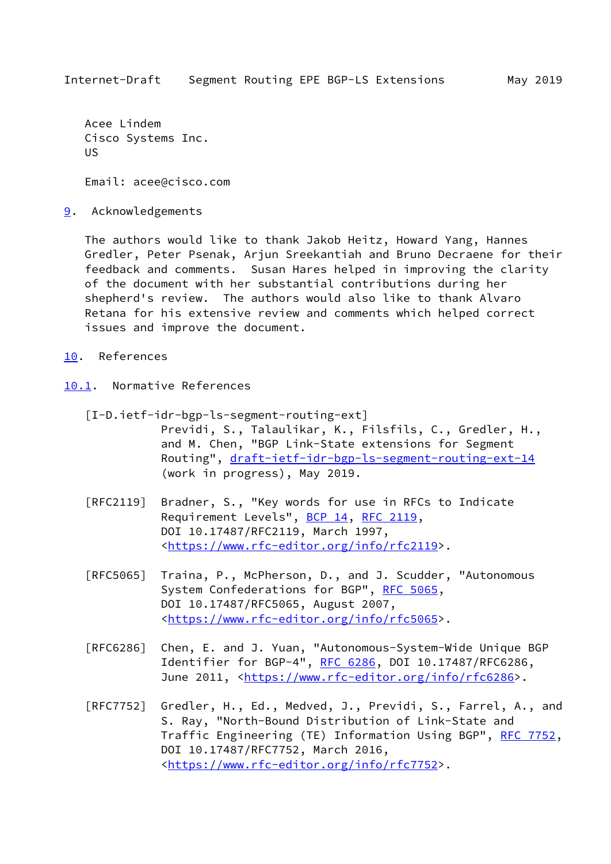<span id="page-17-1"></span> Acee Lindem Cisco Systems Inc. US

Email: acee@cisco.com

<span id="page-17-0"></span>[9](#page-17-0). Acknowledgements

 The authors would like to thank Jakob Heitz, Howard Yang, Hannes Gredler, Peter Psenak, Arjun Sreekantiah and Bruno Decraene for their feedback and comments. Susan Hares helped in improving the clarity of the document with her substantial contributions during her shepherd's review. The authors would also like to thank Alvaro Retana for his extensive review and comments which helped correct issues and improve the document.

- <span id="page-17-2"></span>[10.](#page-17-2) References
- <span id="page-17-4"></span><span id="page-17-3"></span>[10.1](#page-17-3). Normative References
	- [I-D.ietf-idr-bgp-ls-segment-routing-ext] Previdi, S., Talaulikar, K., Filsfils, C., Gredler, H., and M. Chen, "BGP Link-State extensions for Segment Routing", [draft-ietf-idr-bgp-ls-segment-routing-ext-14](https://datatracker.ietf.org/doc/pdf/draft-ietf-idr-bgp-ls-segment-routing-ext-14) (work in progress), May 2019.
	- [RFC2119] Bradner, S., "Key words for use in RFCs to Indicate Requirement Levels", [BCP 14](https://datatracker.ietf.org/doc/pdf/bcp14), [RFC 2119](https://datatracker.ietf.org/doc/pdf/rfc2119), DOI 10.17487/RFC2119, March 1997, <[https://www.rfc-editor.org/info/rfc2119>](https://www.rfc-editor.org/info/rfc2119).
	- [RFC5065] Traina, P., McPherson, D., and J. Scudder, "Autonomous System Confederations for BGP", [RFC 5065,](https://datatracker.ietf.org/doc/pdf/rfc5065) DOI 10.17487/RFC5065, August 2007, <[https://www.rfc-editor.org/info/rfc5065>](https://www.rfc-editor.org/info/rfc5065).
	- [RFC6286] Chen, E. and J. Yuan, "Autonomous-System-Wide Unique BGP Identifier for BGP-4", [RFC 6286](https://datatracker.ietf.org/doc/pdf/rfc6286), DOI 10.17487/RFC6286, June 2011, <<https://www.rfc-editor.org/info/rfc6286>>.
	- [RFC7752] Gredler, H., Ed., Medved, J., Previdi, S., Farrel, A., and S. Ray, "North-Bound Distribution of Link-State and Traffic Engineering (TE) Information Using BGP", [RFC 7752,](https://datatracker.ietf.org/doc/pdf/rfc7752) DOI 10.17487/RFC7752, March 2016, <[https://www.rfc-editor.org/info/rfc7752>](https://www.rfc-editor.org/info/rfc7752).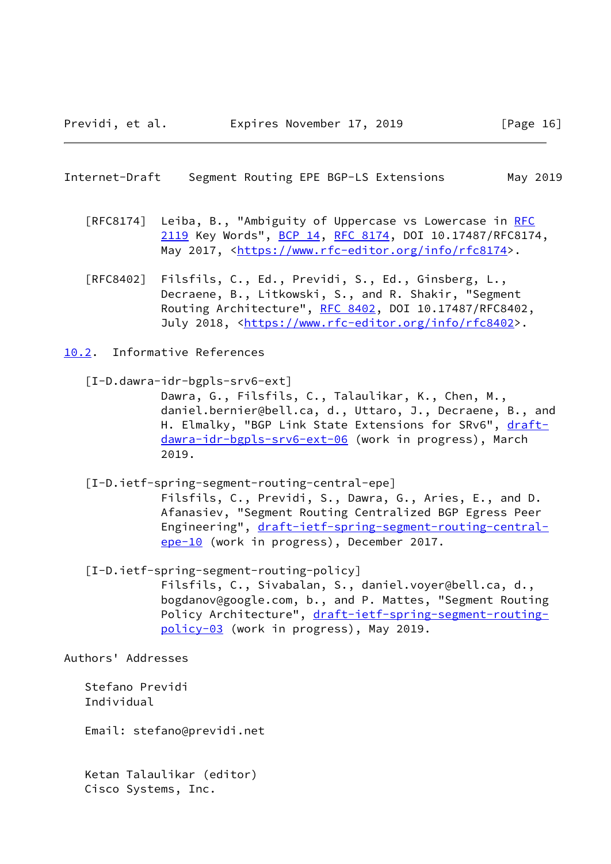- <span id="page-18-1"></span> [RFC8174] Leiba, B., "Ambiguity of Uppercase vs Lowercase in [RFC](https://datatracker.ietf.org/doc/pdf/rfc2119) [2119](https://datatracker.ietf.org/doc/pdf/rfc2119) Key Words", [BCP 14](https://datatracker.ietf.org/doc/pdf/bcp14), [RFC 8174,](https://datatracker.ietf.org/doc/pdf/rfc8174) DOI 10.17487/RFC8174, May 2017, [<https://www.rfc-editor.org/info/rfc8174](https://www.rfc-editor.org/info/rfc8174)>.
- [RFC8402] Filsfils, C., Ed., Previdi, S., Ed., Ginsberg, L., Decraene, B., Litkowski, S., and R. Shakir, "Segment Routing Architecture", [RFC 8402](https://datatracker.ietf.org/doc/pdf/rfc8402), DOI 10.17487/RFC8402, July 2018, <<https://www.rfc-editor.org/info/rfc8402>>.
- <span id="page-18-2"></span><span id="page-18-0"></span>[10.2](#page-18-0). Informative References
	- [I-D.dawra-idr-bgpls-srv6-ext]

 Dawra, G., Filsfils, C., Talaulikar, K., Chen, M., daniel.bernier@bell.ca, d., Uttaro, J., Decraene, B., and H. Elmalky, "BGP Link State Extensions for SRv6", [draft](https://datatracker.ietf.org/doc/pdf/draft-dawra-idr-bgpls-srv6-ext-06) [dawra-idr-bgpls-srv6-ext-06](https://datatracker.ietf.org/doc/pdf/draft-dawra-idr-bgpls-srv6-ext-06) (work in progress), March 2019.

[I-D.ietf-spring-segment-routing-central-epe]

 Filsfils, C., Previdi, S., Dawra, G., Aries, E., and D. Afanasiev, "Segment Routing Centralized BGP Egress Peer Engineering", [draft-ietf-spring-segment-routing-central](https://datatracker.ietf.org/doc/pdf/draft-ietf-spring-segment-routing-central-epe-10) [epe-10](https://datatracker.ietf.org/doc/pdf/draft-ietf-spring-segment-routing-central-epe-10) (work in progress), December 2017.

<span id="page-18-3"></span> [I-D.ietf-spring-segment-routing-policy] Filsfils, C., Sivabalan, S., daniel.voyer@bell.ca, d., bogdanov@google.com, b., and P. Mattes, "Segment Routing Policy Architecture", [draft-ietf-spring-segment-routing](https://datatracker.ietf.org/doc/pdf/draft-ietf-spring-segment-routing-policy-03) [policy-03](https://datatracker.ietf.org/doc/pdf/draft-ietf-spring-segment-routing-policy-03) (work in progress), May 2019.

Authors' Addresses

 Stefano Previdi Individual

Email: stefano@previdi.net

 Ketan Talaulikar (editor) Cisco Systems, Inc.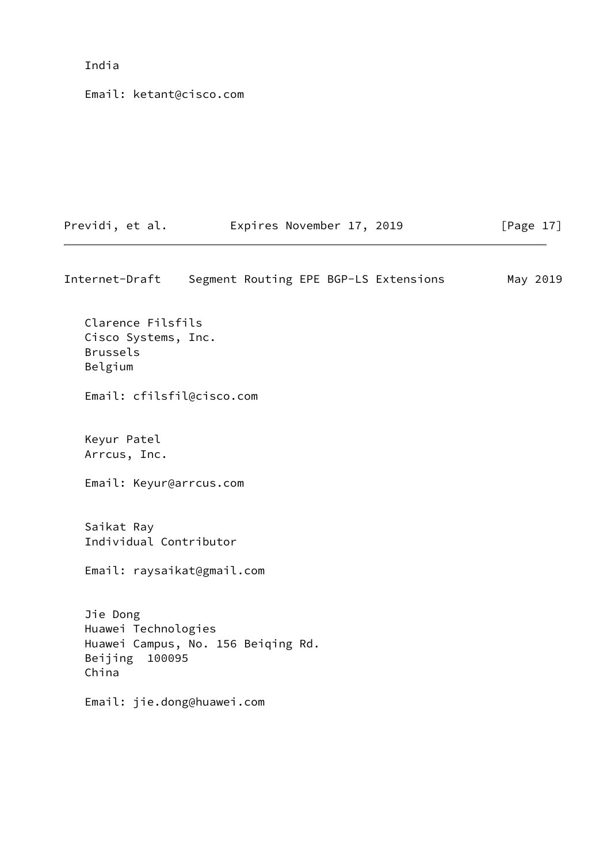# India

Email: ketant@cisco.com

| Previdi, et al. | Expires November 17, 2019 | [Page 17] |
|-----------------|---------------------------|-----------|
|                 |                           |           |

Internet-Draft Segment Routing EPE BGP-LS Extensions May 2019 Clarence Filsfils Cisco Systems, Inc. Brussels Belgium Email: cfilsfil@cisco.com Keyur Patel Arrcus, Inc. Email: Keyur@arrcus.com Saikat Ray Individual Contributor Email: raysaikat@gmail.com Jie Dong Huawei Technologies Huawei Campus, No. 156 Beiqing Rd. Beijing 100095 China Email: jie.dong@huawei.com